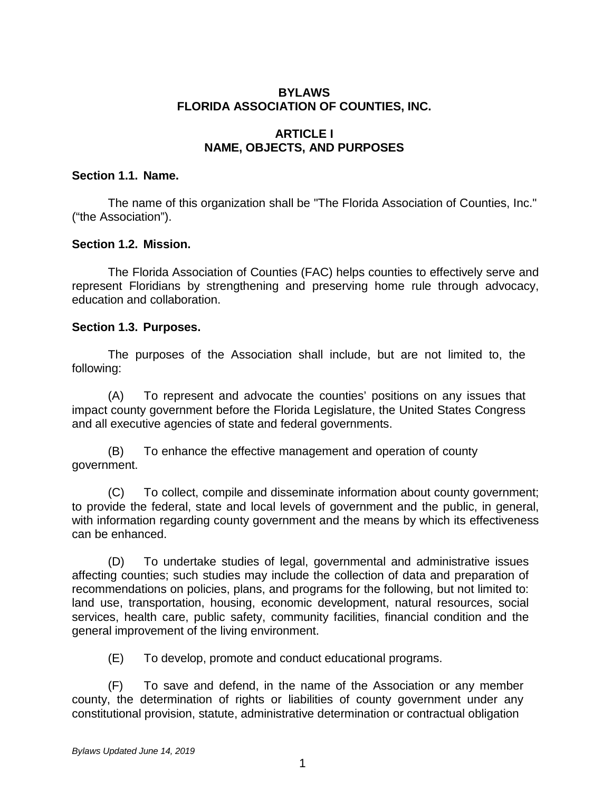## **BYLAWS FLORIDA ASSOCIATION OF COUNTIES, INC.**

## **ARTICLE I NAME, OBJECTS, AND PURPOSES**

## **Section 1.1. Name.**

The name of this organization shall be "The Florida Association of Counties, Inc." ("the Association").

## **Section 1.2. Mission.**

The Florida Association of Counties (FAC) helps counties to effectively serve and represent Floridians by strengthening and preserving home rule through advocacy, education and collaboration.

## **Section 1.3. Purposes.**

The purposes of the Association shall include, but are not limited to, the following:

(A) To represent and advocate the counties' positions on any issues that impact county government before the Florida Legislature, the United States Congress and all executive agencies of state and federal governments.

(B) To enhance the effective management and operation of county government.

(C) To collect, compile and disseminate information about county government; to provide the federal, state and local levels of government and the public, in general, with information regarding county government and the means by which its effectiveness can be enhanced.

(D) To undertake studies of legal, governmental and administrative issues affecting counties; such studies may include the collection of data and preparation of recommendations on policies, plans, and programs for the following, but not limited to: land use, transportation, housing, economic development, natural resources, social services, health care, public safety, community facilities, financial condition and the general improvement of the living environment.

(E) To develop, promote and conduct educational programs.

(F) To save and defend, in the name of the Association or any member county, the determination of rights or liabilities of county government under any constitutional provision, statute, administrative determination or contractual obligation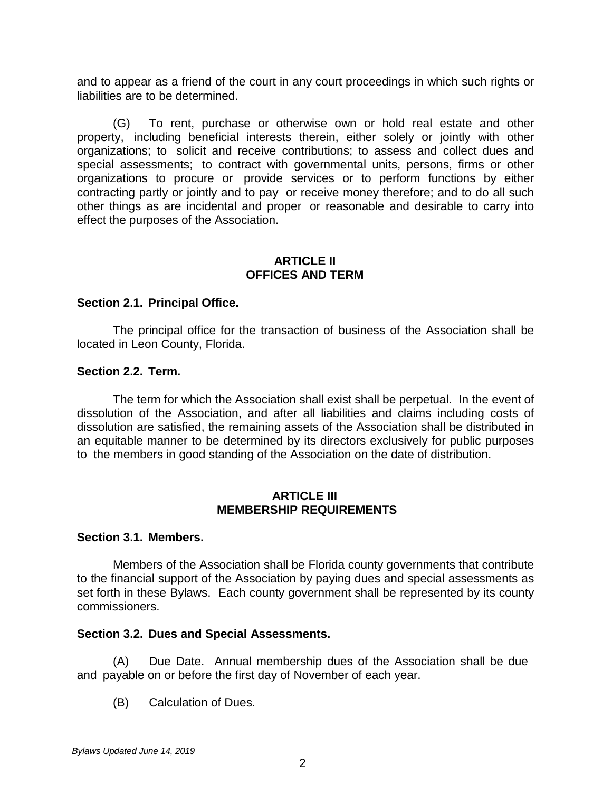and to appear as a friend of the court in any court proceedings in which such rights or liabilities are to be determined.

(G) To rent, purchase or otherwise own or hold real estate and other property, including beneficial interests therein, either solely or jointly with other organizations; to solicit and receive contributions; to assess and collect dues and special assessments; to contract with governmental units, persons, firms or other organizations to procure or provide services or to perform functions by either contracting partly or jointly and to pay or receive money therefore; and to do all such other things as are incidental and proper or reasonable and desirable to carry into effect the purposes of the Association.

### **ARTICLE II OFFICES AND TERM**

#### **Section 2.1. Principal Office.**

The principal office for the transaction of business of the Association shall be located in Leon County, Florida.

#### **Section 2.2. Term.**

The term for which the Association shall exist shall be perpetual. In the event of dissolution of the Association, and after all liabilities and claims including costs of dissolution are satisfied, the remaining assets of the Association shall be distributed in an equitable manner to be determined by its directors exclusively for public purposes to the members in good standing of the Association on the date of distribution.

#### **ARTICLE III MEMBERSHIP REQUIREMENTS**

#### **Section 3.1. Members.**

Members of the Association shall be Florida county governments that contribute to the financial support of the Association by paying dues and special assessments as set forth in these Bylaws. Each county government shall be represented by its county commissioners.

#### **Section 3.2. Dues and Special Assessments.**

(A) Due Date. Annual membership dues of the Association shall be due and payable on or before the first day of November of each year.

(B) Calculation of Dues.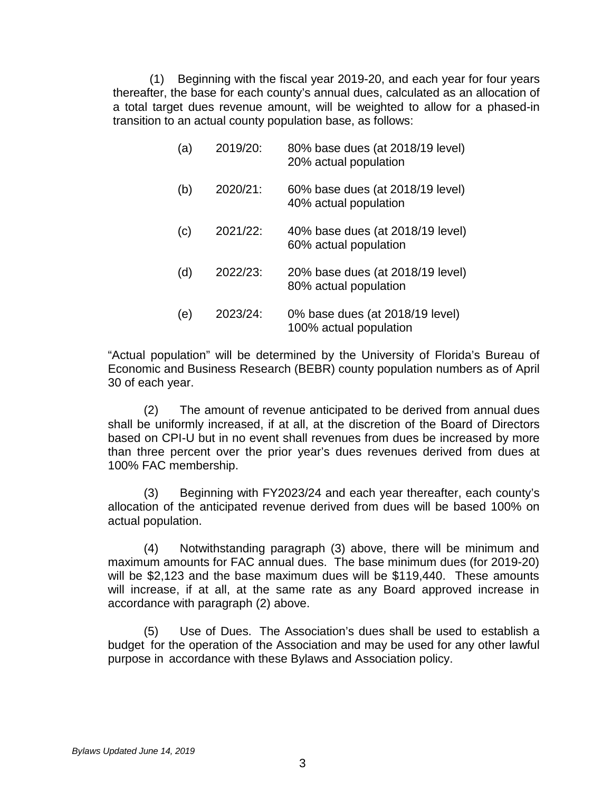(1) Beginning with the fiscal year 2019-20, and each year for four years thereafter, the base for each county's annual dues, calculated as an allocation of a total target dues revenue amount, will be weighted to allow for a phased-in transition to an actual county population base, as follows:

| (a) | 2019/20: | 80% base dues (at 2018/19 level)<br>20% actual population |
|-----|----------|-----------------------------------------------------------|
| (b) | 2020/21: | 60% base dues (at 2018/19 level)<br>40% actual population |
| (c) | 2021/22: | 40% base dues (at 2018/19 level)<br>60% actual population |
| (d) | 2022/23: | 20% base dues (at 2018/19 level)<br>80% actual population |
| (e) | 2023/24: | 0% base dues (at 2018/19 level)<br>100% actual population |

"Actual population" will be determined by the University of Florida's Bureau of Economic and Business Research (BEBR) county population numbers as of April 30 of each year.

(2) The amount of revenue anticipated to be derived from annual dues shall be uniformly increased, if at all, at the discretion of the Board of Directors based on CPI-U but in no event shall revenues from dues be increased by more than three percent over the prior year's dues revenues derived from dues at 100% FAC membership.

(3) Beginning with FY2023/24 and each year thereafter, each county's allocation of the anticipated revenue derived from dues will be based 100% on actual population.

(4) Notwithstanding paragraph (3) above, there will be minimum and maximum amounts for FAC annual dues. The base minimum dues (for 2019-20) will be \$2,123 and the base maximum dues will be \$119,440. These amounts will increase, if at all, at the same rate as any Board approved increase in accordance with paragraph (2) above.

(5) Use of Dues. The Association's dues shall be used to establish a budget for the operation of the Association and may be used for any other lawful purpose in accordance with these Bylaws and Association policy.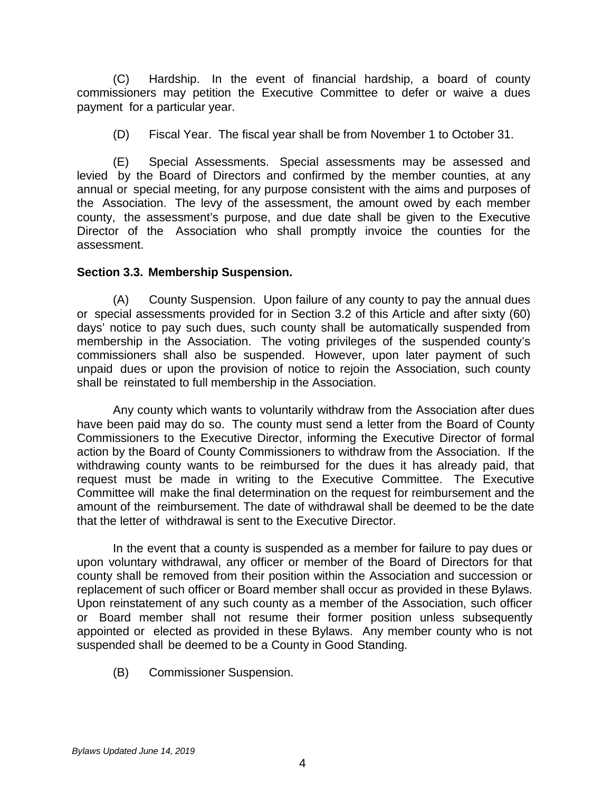(C) Hardship. In the event of financial hardship, a board of county commissioners may petition the Executive Committee to defer or waive a dues payment for a particular year.

(D) Fiscal Year. The fiscal year shall be from November 1 to October 31.

(E) Special Assessments. Special assessments may be assessed and levied by the Board of Directors and confirmed by the member counties, at any annual or special meeting, for any purpose consistent with the aims and purposes of the Association. The levy of the assessment, the amount owed by each member county, the assessment's purpose, and due date shall be given to the Executive Director of the Association who shall promptly invoice the counties for the assessment.

#### **Section 3.3. Membership Suspension.**

(A) County Suspension. Upon failure of any county to pay the annual dues or special assessments provided for in Section 3.2 of this Article and after sixty (60) days' notice to pay such dues, such county shall be automatically suspended from membership in the Association. The voting privileges of the suspended county's commissioners shall also be suspended. However, upon later payment of such unpaid dues or upon the provision of notice to rejoin the Association, such county shall be reinstated to full membership in the Association.

Any county which wants to voluntarily withdraw from the Association after dues have been paid may do so. The county must send a letter from the Board of County Commissioners to the Executive Director, informing the Executive Director of formal action by the Board of County Commissioners to withdraw from the Association. If the withdrawing county wants to be reimbursed for the dues it has already paid, that request must be made in writing to the Executive Committee. The Executive Committee will make the final determination on the request for reimbursement and the amount of the reimbursement. The date of withdrawal shall be deemed to be the date that the letter of withdrawal is sent to the Executive Director.

In the event that a county is suspended as a member for failure to pay dues or upon voluntary withdrawal, any officer or member of the Board of Directors for that county shall be removed from their position within the Association and succession or replacement of such officer or Board member shall occur as provided in these Bylaws. Upon reinstatement of any such county as a member of the Association, such officer or Board member shall not resume their former position unless subsequently appointed or elected as provided in these Bylaws. Any member county who is not suspended shall be deemed to be a County in Good Standing.

(B) Commissioner Suspension.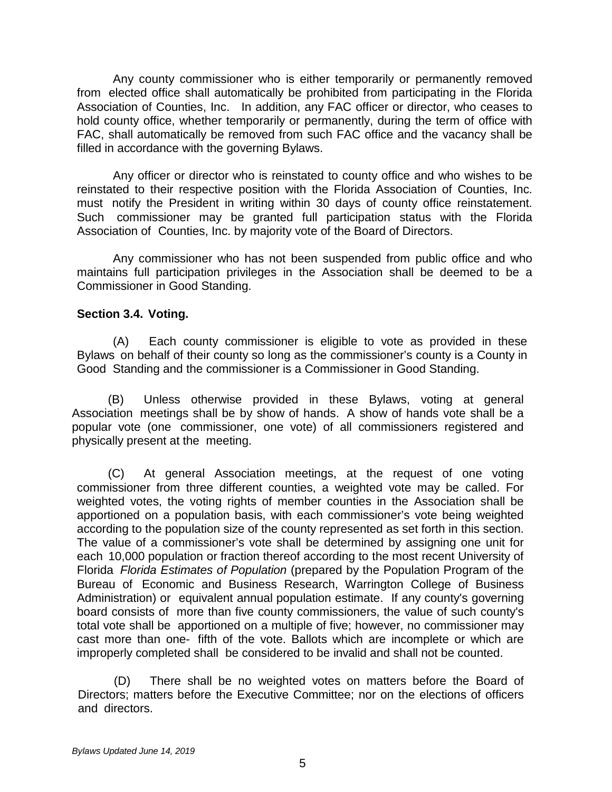Any county commissioner who is either temporarily or permanently removed from elected office shall automatically be prohibited from participating in the Florida Association of Counties, Inc. In addition, any FAC officer or director, who ceases to hold county office, whether temporarily or permanently, during the term of office with FAC, shall automatically be removed from such FAC office and the vacancy shall be filled in accordance with the governing Bylaws.

Any officer or director who is reinstated to county office and who wishes to be reinstated to their respective position with the Florida Association of Counties, Inc. must notify the President in writing within 30 days of county office reinstatement. Such commissioner may be granted full participation status with the Florida Association of Counties, Inc. by majority vote of the Board of Directors.

Any commissioner who has not been suspended from public office and who maintains full participation privileges in the Association shall be deemed to be a Commissioner in Good Standing.

## **Section 3.4. Voting.**

(A) Each county commissioner is eligible to vote as provided in these Bylaws on behalf of their county so long as the commissioner's county is a County in Good Standing and the commissioner is a Commissioner in Good Standing.

(B) Unless otherwise provided in these Bylaws, voting at general Association meetings shall be by show of hands. A show of hands vote shall be a popular vote (one commissioner, one vote) of all commissioners registered and physically present at the meeting.

(C) At general Association meetings, at the request of one voting commissioner from three different counties, a weighted vote may be called. For weighted votes, the voting rights of member counties in the Association shall be apportioned on a population basis, with each commissioner's vote being weighted according to the population size of the county represented as set forth in this section. The value of a commissioner's vote shall be determined by assigning one unit for each 10,000 population or fraction thereof according to the most recent University of Florida *Florida Estimates of Population* (prepared by the Population Program of the Bureau of Economic and Business Research, Warrington College of Business Administration) or equivalent annual population estimate. If any county's governing board consists of more than five county commissioners, the value of such county's total vote shall be apportioned on a multiple of five; however, no commissioner may cast more than one- fifth of the vote. Ballots which are incomplete or which are improperly completed shall be considered to be invalid and shall not be counted.

(D) There shall be no weighted votes on matters before the Board of Directors; matters before the Executive Committee; nor on the elections of officers and directors.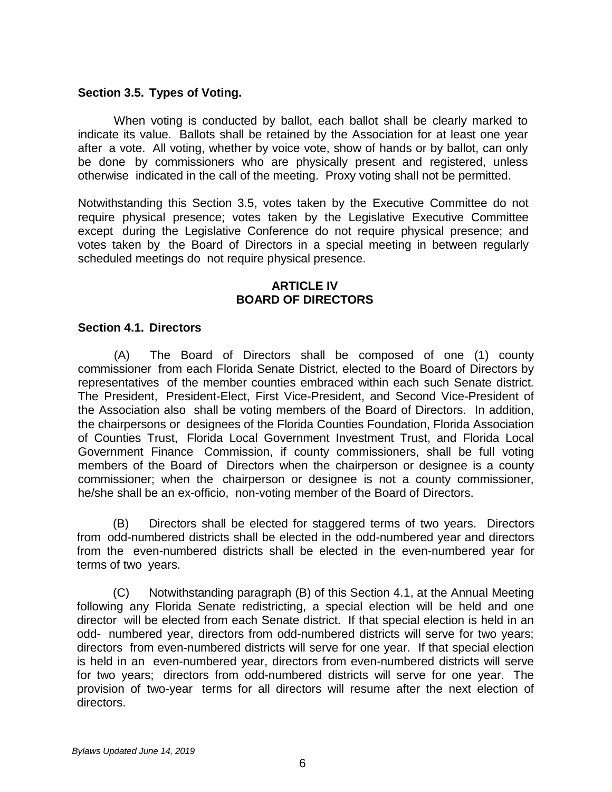### **Section 3.5. Types of Voting.**

When voting is conducted by ballot, each ballot shall be clearly marked to indicate its value. Ballots shall be retained by the Association for at least one year after a vote. All voting, whether by voice vote, show of hands or by ballot, can only be done by commissioners who are physically present and registered, unless otherwise indicated in the call of the meeting. Proxy voting shall not be permitted.

Notwithstanding this Section 3.5, votes taken by the Executive Committee do not require physical presence; votes taken by the Legislative Executive Committee except during the Legislative Conference do not require physical presence; and votes taken by the Board of Directors in a special meeting in between regularly scheduled meetings do not require physical presence.

## **ARTICLE IV BOARD OF DIRECTORS**

## **Section 4.1. Directors**

(A) The Board of Directors shall be composed of one (1) county commissioner from each Florida Senate District, elected to the Board of Directors by representatives of the member counties embraced within each such Senate district. The President, President-Elect, First Vice-President, and Second Vice-President of the Association also shall be voting members of the Board of Directors. In addition, the chairpersons or designees of the Florida Counties Foundation, Florida Association of Counties Trust, Florida Local Government Investment Trust, and Florida Local Government Finance Commission, if county commissioners, shall be full voting members of the Board of Directors when the chairperson or designee is a county commissioner; when the chairperson or designee is not a county commissioner, he/she shall be an ex-officio, non-voting member of the Board of Directors.

(B) Directors shall be elected for staggered terms of two years. Directors from odd-numbered districts shall be elected in the odd-numbered year and directors from the even-numbered districts shall be elected in the even-numbered year for terms of two years.

(C) Notwithstanding paragraph (B) of this Section 4.1, at the Annual Meeting following any Florida Senate redistricting, a special election will be held and one director will be elected from each Senate district. If that special election is held in an odd- numbered year, directors from odd-numbered districts will serve for two years; directors from even-numbered districts will serve for one year. If that special election is held in an even-numbered year, directors from even-numbered districts will serve for two years; directors from odd-numbered districts will serve for one year. The provision of two-year terms for all directors will resume after the next election of directors.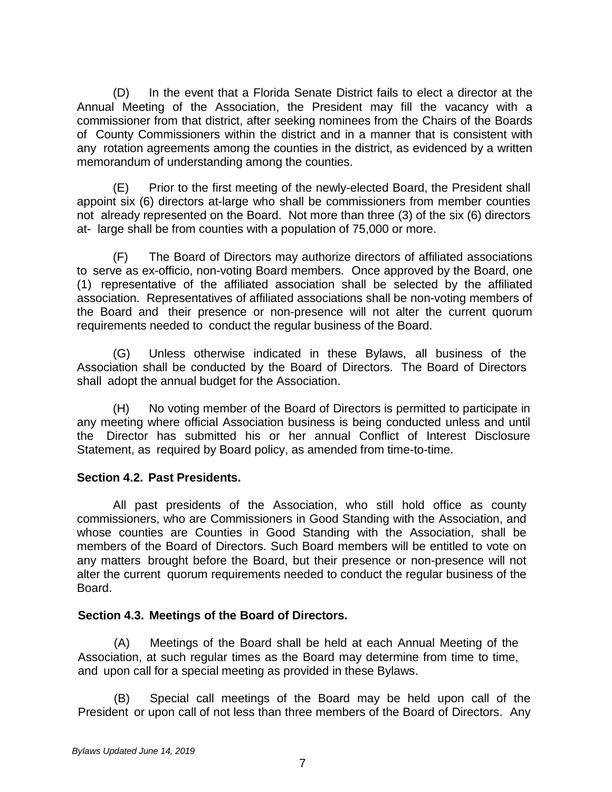(D) In the event that a Florida Senate District fails to elect a director at the Annual Meeting of the Association, the President may fill the vacancy with a commissioner from that district, after seeking nominees from the Chairs of the Boards of County Commissioners within the district and in a manner that is consistent with any rotation agreements among the counties in the district, as evidenced by a written memorandum of understanding among the counties.

(E) Prior to the first meeting of the newly-elected Board, the President shall appoint six (6) directors at-large who shall be commissioners from member counties not already represented on the Board. Not more than three (3) of the six (6) directors at- large shall be from counties with a population of 75,000 or more.

(F) The Board of Directors may authorize directors of affiliated associations to serve as ex-officio, non-voting Board members. Once approved by the Board, one (1) representative of the affiliated association shall be selected by the affiliated association. Representatives of affiliated associations shall be non-voting members of the Board and their presence or non-presence will not alter the current quorum requirements needed to conduct the regular business of the Board.

(G) Unless otherwise indicated in these Bylaws, all business of the Association shall be conducted by the Board of Directors. The Board of Directors shall adopt the annual budget for the Association.

(H) No voting member of the Board of Directors is permitted to participate in any meeting where official Association business is being conducted unless and until the Director has submitted his or her annual Conflict of Interest Disclosure Statement, as required by Board policy, as amended from time-to-time.

## **Section 4.2. Past Presidents.**

All past presidents of the Association, who still hold office as county commissioners, who are Commissioners in Good Standing with the Association, and whose counties are Counties in Good Standing with the Association, shall be members of the Board of Directors. Such Board members will be entitled to vote on any matters brought before the Board, but their presence or non-presence will not alter the current quorum requirements needed to conduct the regular business of the Board.

#### **Section 4.3. Meetings of the Board of Directors.**

(A) Meetings of the Board shall be held at each Annual Meeting of the Association, at such regular times as the Board may determine from time to time, and upon call for a special meeting as provided in these Bylaws.

(B) Special call meetings of the Board may be held upon call of the President or upon call of not less than three members of the Board of Directors. Any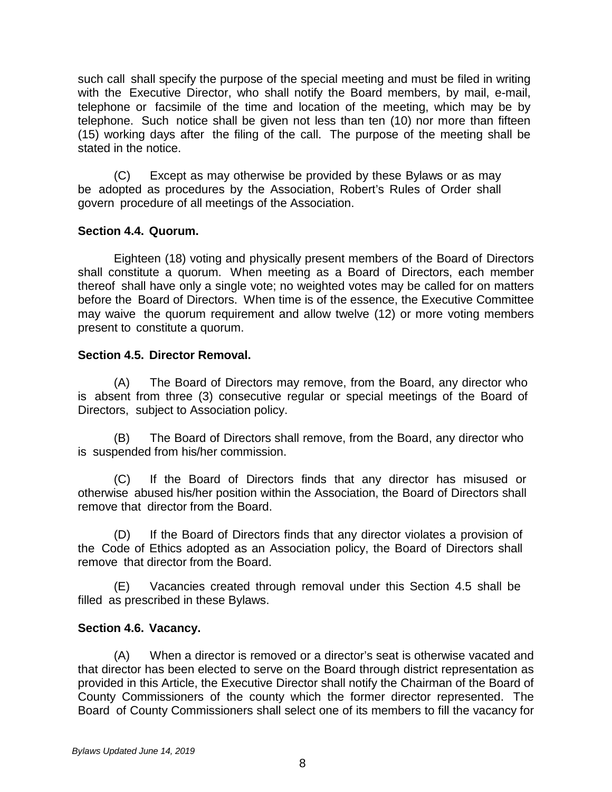such call shall specify the purpose of the special meeting and must be filed in writing with the Executive Director, who shall notify the Board members, by mail, e-mail, telephone or facsimile of the time and location of the meeting, which may be by telephone. Such notice shall be given not less than ten (10) nor more than fifteen (15) working days after the filing of the call. The purpose of the meeting shall be stated in the notice.

(C) Except as may otherwise be provided by these Bylaws or as may be adopted as procedures by the Association, Robert's Rules of Order shall govern procedure of all meetings of the Association.

## **Section 4.4. Quorum.**

Eighteen (18) voting and physically present members of the Board of Directors shall constitute a quorum. When meeting as a Board of Directors, each member thereof shall have only a single vote; no weighted votes may be called for on matters before the Board of Directors. When time is of the essence, the Executive Committee may waive the quorum requirement and allow twelve (12) or more voting members present to constitute a quorum.

## **Section 4.5. Director Removal.**

(A) The Board of Directors may remove, from the Board, any director who is absent from three (3) consecutive regular or special meetings of the Board of Directors, subject to Association policy.

(B) The Board of Directors shall remove, from the Board, any director who is suspended from his/her commission.

(C) If the Board of Directors finds that any director has misused or otherwise abused his/her position within the Association, the Board of Directors shall remove that director from the Board.

(D) If the Board of Directors finds that any director violates a provision of the Code of Ethics adopted as an Association policy, the Board of Directors shall remove that director from the Board.

(E) Vacancies created through removal under this Section 4.5 shall be filled as prescribed in these Bylaws.

## **Section 4.6. Vacancy.**

(A) When a director is removed or a director's seat is otherwise vacated and that director has been elected to serve on the Board through district representation as provided in this Article, the Executive Director shall notify the Chairman of the Board of County Commissioners of the county which the former director represented. The Board of County Commissioners shall select one of its members to fill the vacancy for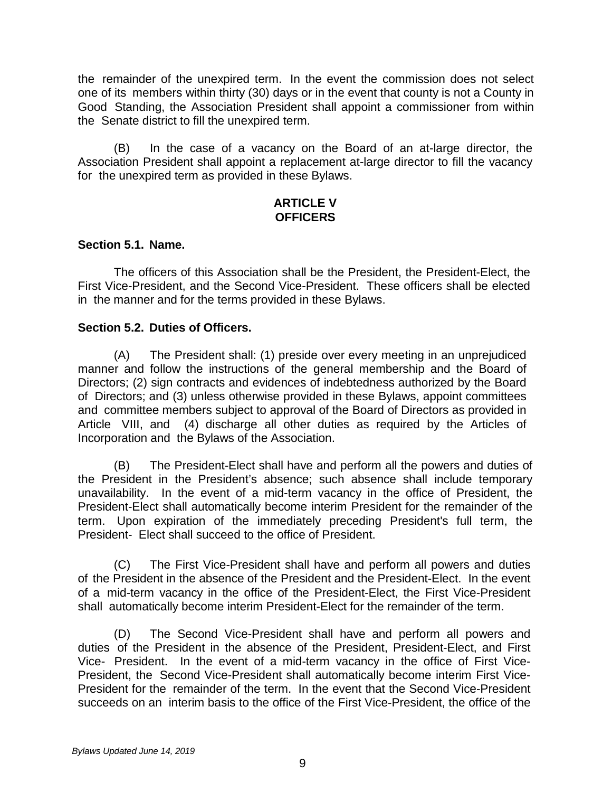the remainder of the unexpired term. In the event the commission does not select one of its members within thirty (30) days or in the event that county is not a County in Good Standing, the Association President shall appoint a commissioner from within the Senate district to fill the unexpired term.

(B) In the case of a vacancy on the Board of an at-large director, the Association President shall appoint a replacement at-large director to fill the vacancy for the unexpired term as provided in these Bylaws.

## **ARTICLE V OFFICERS**

## **Section 5.1. Name.**

The officers of this Association shall be the President, the President-Elect, the First Vice-President, and the Second Vice-President. These officers shall be elected in the manner and for the terms provided in these Bylaws.

## **Section 5.2. Duties of Officers.**

(A) The President shall: (1) preside over every meeting in an unprejudiced manner and follow the instructions of the general membership and the Board of Directors; (2) sign contracts and evidences of indebtedness authorized by the Board of Directors; and (3) unless otherwise provided in these Bylaws, appoint committees and committee members subject to approval of the Board of Directors as provided in Article VIII, and (4) discharge all other duties as required by the Articles of Incorporation and the Bylaws of the Association.

(B) The President-Elect shall have and perform all the powers and duties of the President in the President's absence; such absence shall include temporary unavailability. In the event of a mid-term vacancy in the office of President, the President-Elect shall automatically become interim President for the remainder of the term. Upon expiration of the immediately preceding President's full term, the President- Elect shall succeed to the office of President.

(C) The First Vice-President shall have and perform all powers and duties of the President in the absence of the President and the President-Elect. In the event of a mid-term vacancy in the office of the President-Elect, the First Vice-President shall automatically become interim President-Elect for the remainder of the term.

(D) The Second Vice-President shall have and perform all powers and duties of the President in the absence of the President, President-Elect, and First Vice- President. In the event of a mid-term vacancy in the office of First Vice-President, the Second Vice-President shall automatically become interim First Vice-President for the remainder of the term. In the event that the Second Vice-President succeeds on an interim basis to the office of the First Vice-President, the office of the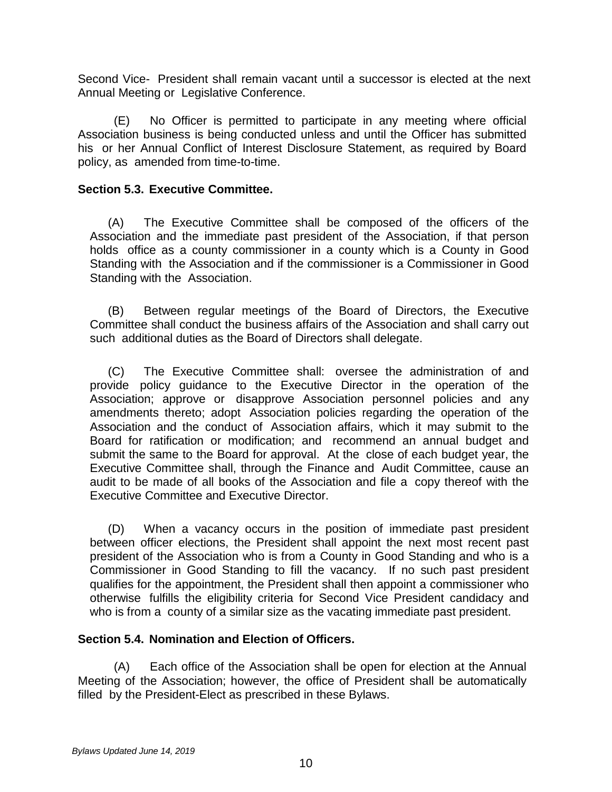Second Vice- President shall remain vacant until a successor is elected at the next Annual Meeting or Legislative Conference.

(E) No Officer is permitted to participate in any meeting where official Association business is being conducted unless and until the Officer has submitted his or her Annual Conflict of Interest Disclosure Statement, as required by Board policy, as amended from time-to-time.

## **Section 5.3. Executive Committee.**

(A) The Executive Committee shall be composed of the officers of the Association and the immediate past president of the Association, if that person holds office as a county commissioner in a county which is a County in Good Standing with the Association and if the commissioner is a Commissioner in Good Standing with the Association.

(B) Between regular meetings of the Board of Directors, the Executive Committee shall conduct the business affairs of the Association and shall carry out such additional duties as the Board of Directors shall delegate.

(C) The Executive Committee shall: oversee the administration of and provide policy guidance to the Executive Director in the operation of the Association; approve or disapprove Association personnel policies and any amendments thereto; adopt Association policies regarding the operation of the Association and the conduct of Association affairs, which it may submit to the Board for ratification or modification; and recommend an annual budget and submit the same to the Board for approval. At the close of each budget year, the Executive Committee shall, through the Finance and Audit Committee, cause an audit to be made of all books of the Association and file a copy thereof with the Executive Committee and Executive Director.

(D) When a vacancy occurs in the position of immediate past president between officer elections, the President shall appoint the next most recent past president of the Association who is from a County in Good Standing and who is a Commissioner in Good Standing to fill the vacancy. If no such past president qualifies for the appointment, the President shall then appoint a commissioner who otherwise fulfills the eligibility criteria for Second Vice President candidacy and who is from a county of a similar size as the vacating immediate past president.

## **Section 5.4. Nomination and Election of Officers.**

(A) Each office of the Association shall be open for election at the Annual Meeting of the Association; however, the office of President shall be automatically filled by the President-Elect as prescribed in these Bylaws.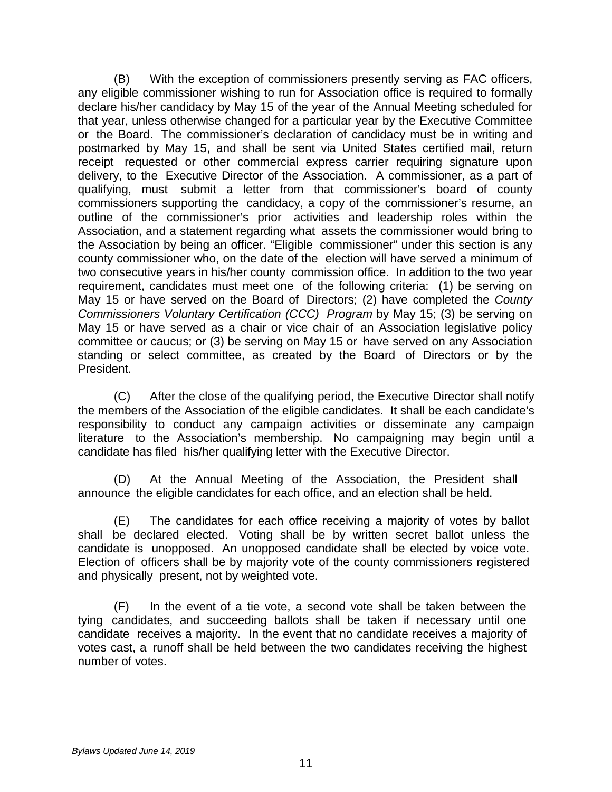(B) With the exception of commissioners presently serving as FAC officers, any eligible commissioner wishing to run for Association office is required to formally declare his/her candidacy by May 15 of the year of the Annual Meeting scheduled for that year, unless otherwise changed for a particular year by the Executive Committee or the Board. The commissioner's declaration of candidacy must be in writing and postmarked by May 15, and shall be sent via United States certified mail, return receipt requested or other commercial express carrier requiring signature upon delivery, to the Executive Director of the Association. A commissioner, as a part of qualifying, must submit a letter from that commissioner's board of county commissioners supporting the candidacy, a copy of the commissioner's resume, an outline of the commissioner's prior activities and leadership roles within the Association, and a statement regarding what assets the commissioner would bring to the Association by being an officer. "Eligible commissioner" under this section is any county commissioner who, on the date of the election will have served a minimum of two consecutive years in his/her county commission office. In addition to the two year requirement, candidates must meet one of the following criteria: (1) be serving on May 15 or have served on the Board of Directors; (2) have completed the *County Commissioners Voluntary Certification (CCC) Program* by May 15; (3) be serving on May 15 or have served as a chair or vice chair of an Association legislative policy committee or caucus; or (3) be serving on May 15 or have served on any Association standing or select committee, as created by the Board of Directors or by the President.

(C) After the close of the qualifying period, the Executive Director shall notify the members of the Association of the eligible candidates. It shall be each candidate's responsibility to conduct any campaign activities or disseminate any campaign literature to the Association's membership. No campaigning may begin until a candidate has filed his/her qualifying letter with the Executive Director.

(D) At the Annual Meeting of the Association, the President shall announce the eligible candidates for each office, and an election shall be held.

(E) The candidates for each office receiving a majority of votes by ballot shall be declared elected. Voting shall be by written secret ballot unless the candidate is unopposed. An unopposed candidate shall be elected by voice vote. Election of officers shall be by majority vote of the county commissioners registered and physically present, not by weighted vote.

(F) In the event of a tie vote, a second vote shall be taken between the tying candidates, and succeeding ballots shall be taken if necessary until one candidate receives a majority. In the event that no candidate receives a majority of votes cast, a runoff shall be held between the two candidates receiving the highest number of votes.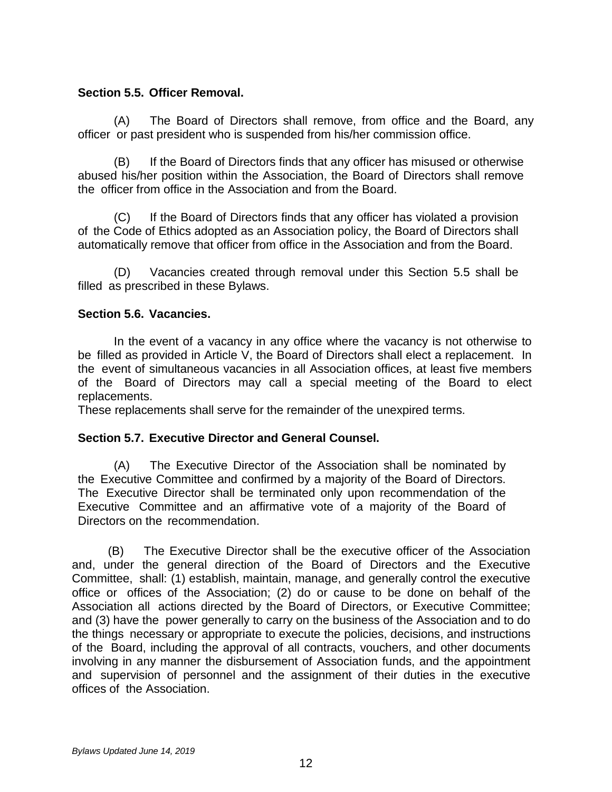## **Section 5.5. Officer Removal.**

(A) The Board of Directors shall remove, from office and the Board, any officer or past president who is suspended from his/her commission office.

(B) If the Board of Directors finds that any officer has misused or otherwise abused his/her position within the Association, the Board of Directors shall remove the officer from office in the Association and from the Board.

(C) If the Board of Directors finds that any officer has violated a provision of the Code of Ethics adopted as an Association policy, the Board of Directors shall automatically remove that officer from office in the Association and from the Board.

(D) Vacancies created through removal under this Section 5.5 shall be filled as prescribed in these Bylaws.

## **Section 5.6. Vacancies.**

In the event of a vacancy in any office where the vacancy is not otherwise to be filled as provided in Article V, the Board of Directors shall elect a replacement. In the event of simultaneous vacancies in all Association offices, at least five members of the Board of Directors may call a special meeting of the Board to elect replacements.

These replacements shall serve for the remainder of the unexpired terms.

## **Section 5.7. Executive Director and General Counsel.**

(A) The Executive Director of the Association shall be nominated by the Executive Committee and confirmed by a majority of the Board of Directors. The Executive Director shall be terminated only upon recommendation of the Executive Committee and an affirmative vote of a majority of the Board of Directors on the recommendation.

(B) The Executive Director shall be the executive officer of the Association and, under the general direction of the Board of Directors and the Executive Committee, shall: (1) establish, maintain, manage, and generally control the executive office or offices of the Association; (2) do or cause to be done on behalf of the Association all actions directed by the Board of Directors, or Executive Committee; and (3) have the power generally to carry on the business of the Association and to do the things necessary or appropriate to execute the policies, decisions, and instructions of the Board, including the approval of all contracts, vouchers, and other documents involving in any manner the disbursement of Association funds, and the appointment and supervision of personnel and the assignment of their duties in the executive offices of the Association.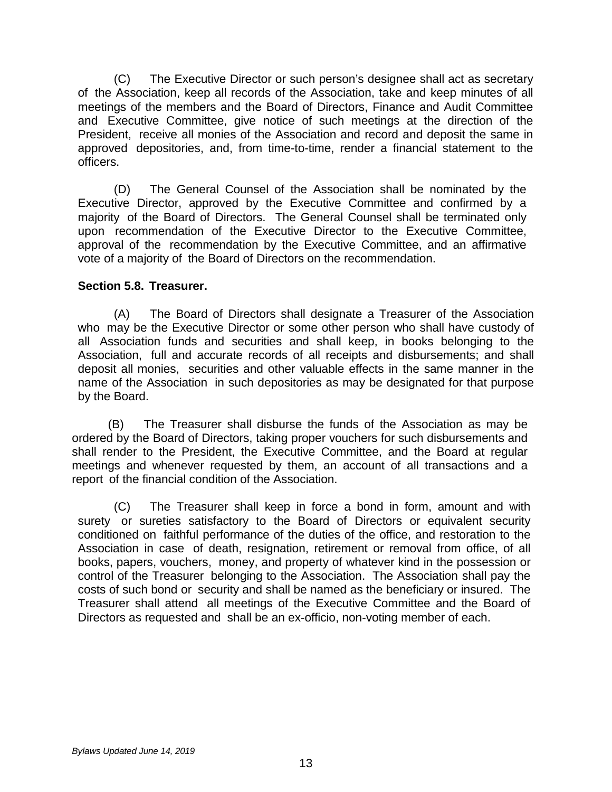(C) The Executive Director or such person's designee shall act as secretary of the Association, keep all records of the Association, take and keep minutes of all meetings of the members and the Board of Directors, Finance and Audit Committee and Executive Committee, give notice of such meetings at the direction of the President, receive all monies of the Association and record and deposit the same in approved depositories, and, from time-to-time, render a financial statement to the officers.

(D) The General Counsel of the Association shall be nominated by the Executive Director, approved by the Executive Committee and confirmed by a majority of the Board of Directors. The General Counsel shall be terminated only upon recommendation of the Executive Director to the Executive Committee, approval of the recommendation by the Executive Committee, and an affirmative vote of a majority of the Board of Directors on the recommendation.

## **Section 5.8. Treasurer.**

(A) The Board of Directors shall designate a Treasurer of the Association who may be the Executive Director or some other person who shall have custody of all Association funds and securities and shall keep, in books belonging to the Association, full and accurate records of all receipts and disbursements; and shall deposit all monies, securities and other valuable effects in the same manner in the name of the Association in such depositories as may be designated for that purpose by the Board.

(B) The Treasurer shall disburse the funds of the Association as may be ordered by the Board of Directors, taking proper vouchers for such disbursements and shall render to the President, the Executive Committee, and the Board at regular meetings and whenever requested by them, an account of all transactions and a report of the financial condition of the Association.

(C) The Treasurer shall keep in force a bond in form, amount and with surety or sureties satisfactory to the Board of Directors or equivalent security conditioned on faithful performance of the duties of the office, and restoration to the Association in case of death, resignation, retirement or removal from office, of all books, papers, vouchers, money, and property of whatever kind in the possession or control of the Treasurer belonging to the Association. The Association shall pay the costs of such bond or security and shall be named as the beneficiary or insured. The Treasurer shall attend all meetings of the Executive Committee and the Board of Directors as requested and shall be an ex-officio, non-voting member of each.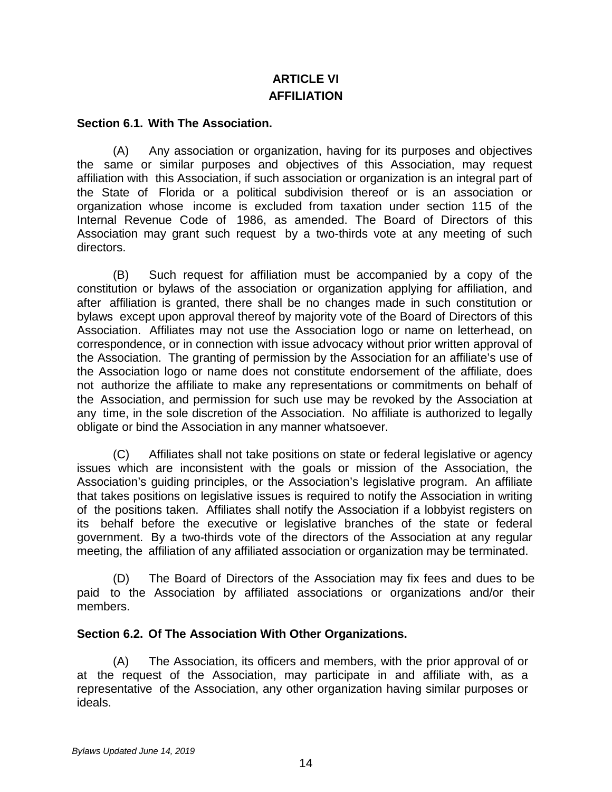# **ARTICLE VI AFFILIATION**

#### **Section 6.1. With The Association.**

(A) Any association or organization, having for its purposes and objectives the same or similar purposes and objectives of this Association, may request affiliation with this Association, if such association or organization is an integral part of the State of Florida or a political subdivision thereof or is an association or organization whose income is excluded from taxation under section 115 of the Internal Revenue Code of 1986, as amended. The Board of Directors of this Association may grant such request by a two-thirds vote at any meeting of such directors.

(B) Such request for affiliation must be accompanied by a copy of the constitution or bylaws of the association or organization applying for affiliation, and after affiliation is granted, there shall be no changes made in such constitution or bylaws except upon approval thereof by majority vote of the Board of Directors of this Association. Affiliates may not use the Association logo or name on letterhead, on correspondence, or in connection with issue advocacy without prior written approval of the Association. The granting of permission by the Association for an affiliate's use of the Association logo or name does not constitute endorsement of the affiliate, does not authorize the affiliate to make any representations or commitments on behalf of the Association, and permission for such use may be revoked by the Association at any time, in the sole discretion of the Association. No affiliate is authorized to legally obligate or bind the Association in any manner whatsoever.

(C) Affiliates shall not take positions on state or federal legislative or agency issues which are inconsistent with the goals or mission of the Association, the Association's guiding principles, or the Association's legislative program. An affiliate that takes positions on legislative issues is required to notify the Association in writing of the positions taken. Affiliates shall notify the Association if a lobbyist registers on its behalf before the executive or legislative branches of the state or federal government. By a two-thirds vote of the directors of the Association at any regular meeting, the affiliation of any affiliated association or organization may be terminated.

(D) The Board of Directors of the Association may fix fees and dues to be paid to the Association by affiliated associations or organizations and/or their members.

#### **Section 6.2. Of The Association With Other Organizations.**

(A) The Association, its officers and members, with the prior approval of or at the request of the Association, may participate in and affiliate with, as a representative of the Association, any other organization having similar purposes or ideals.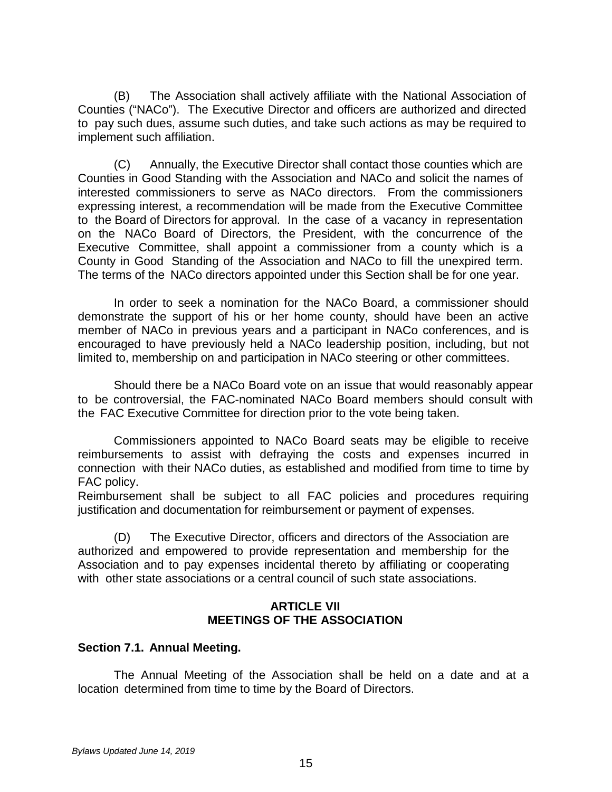(B) The Association shall actively affiliate with the National Association of Counties ("NACo"). The Executive Director and officers are authorized and directed to pay such dues, assume such duties, and take such actions as may be required to implement such affiliation.

(C) Annually, the Executive Director shall contact those counties which are Counties in Good Standing with the Association and NACo and solicit the names of interested commissioners to serve as NACo directors. From the commissioners expressing interest, a recommendation will be made from the Executive Committee to the Board of Directors for approval. In the case of a vacancy in representation on the NACo Board of Directors, the President, with the concurrence of the Executive Committee, shall appoint a commissioner from a county which is a County in Good Standing of the Association and NACo to fill the unexpired term. The terms of the NACo directors appointed under this Section shall be for one year.

In order to seek a nomination for the NACo Board, a commissioner should demonstrate the support of his or her home county, should have been an active member of NACo in previous years and a participant in NACo conferences, and is encouraged to have previously held a NACo leadership position, including, but not limited to, membership on and participation in NACo steering or other committees.

Should there be a NACo Board vote on an issue that would reasonably appear to be controversial, the FAC-nominated NACo Board members should consult with the FAC Executive Committee for direction prior to the vote being taken.

Commissioners appointed to NACo Board seats may be eligible to receive reimbursements to assist with defraying the costs and expenses incurred in connection with their NACo duties, as established and modified from time to time by FAC policy.

Reimbursement shall be subject to all FAC policies and procedures requiring justification and documentation for reimbursement or payment of expenses.

(D) The Executive Director, officers and directors of the Association are authorized and empowered to provide representation and membership for the Association and to pay expenses incidental thereto by affiliating or cooperating with other state associations or a central council of such state associations.

#### **ARTICLE VII MEETINGS OF THE ASSOCIATION**

## **Section 7.1. Annual Meeting.**

The Annual Meeting of the Association shall be held on a date and at a location determined from time to time by the Board of Directors.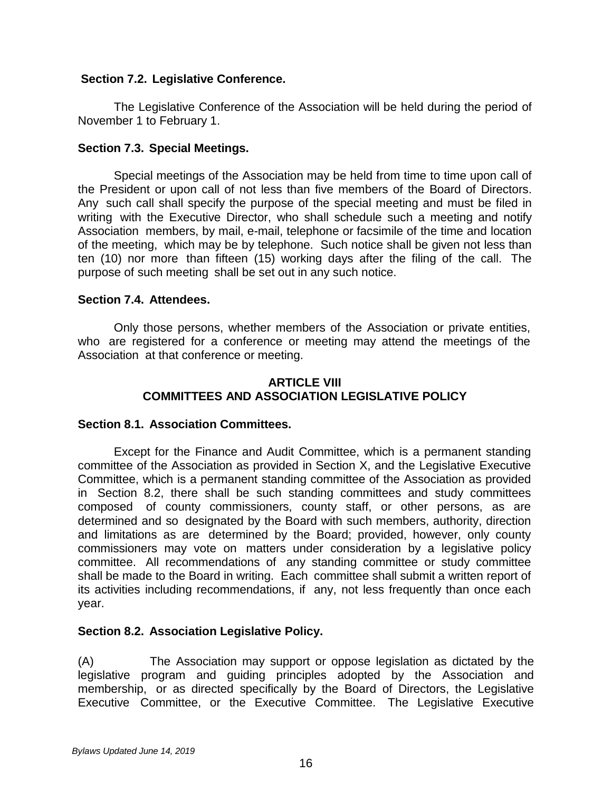## **Section 7.2. Legislative Conference.**

The Legislative Conference of the Association will be held during the period of November 1 to February 1.

## **Section 7.3. Special Meetings.**

Special meetings of the Association may be held from time to time upon call of the President or upon call of not less than five members of the Board of Directors. Any such call shall specify the purpose of the special meeting and must be filed in writing with the Executive Director, who shall schedule such a meeting and notify Association members, by mail, e-mail, telephone or facsimile of the time and location of the meeting, which may be by telephone. Such notice shall be given not less than ten (10) nor more than fifteen (15) working days after the filing of the call. The purpose of such meeting shall be set out in any such notice.

## **Section 7.4. Attendees.**

Only those persons, whether members of the Association or private entities, who are registered for a conference or meeting may attend the meetings of the Association at that conference or meeting.

## **ARTICLE VIII COMMITTEES AND ASSOCIATION LEGISLATIVE POLICY**

## **Section 8.1. Association Committees.**

Except for the Finance and Audit Committee, which is a permanent standing committee of the Association as provided in Section X, and the Legislative Executive Committee, which is a permanent standing committee of the Association as provided in Section 8.2, there shall be such standing committees and study committees composed of county commissioners, county staff, or other persons, as are determined and so designated by the Board with such members, authority, direction and limitations as are determined by the Board; provided, however, only county commissioners may vote on matters under consideration by a legislative policy committee. All recommendations of any standing committee or study committee shall be made to the Board in writing. Each committee shall submit a written report of its activities including recommendations, if any, not less frequently than once each year.

## **Section 8.2. Association Legislative Policy.**

(A) The Association may support or oppose legislation as dictated by the legislative program and guiding principles adopted by the Association and membership, or as directed specifically by the Board of Directors, the Legislative Executive Committee, or the Executive Committee. The Legislative Executive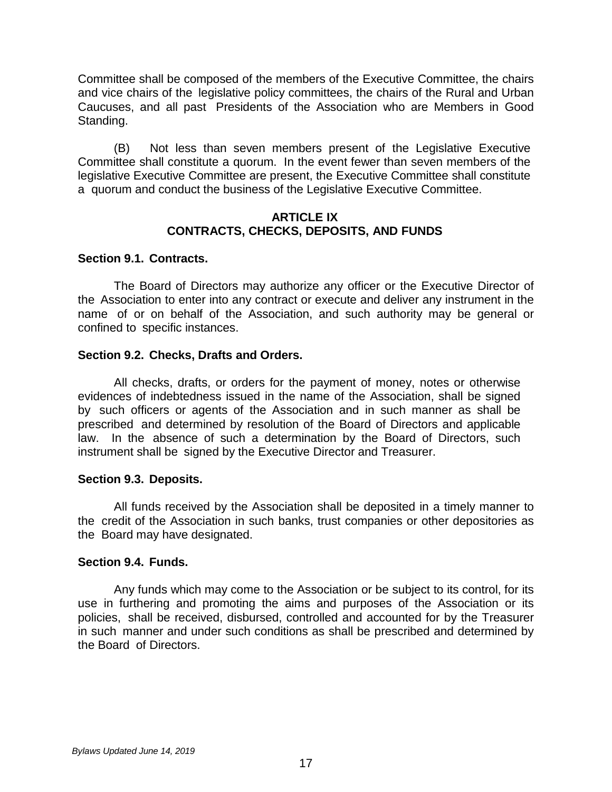Committee shall be composed of the members of the Executive Committee, the chairs and vice chairs of the legislative policy committees, the chairs of the Rural and Urban Caucuses, and all past Presidents of the Association who are Members in Good Standing.

(B) Not less than seven members present of the Legislative Executive Committee shall constitute a quorum. In the event fewer than seven members of the legislative Executive Committee are present, the Executive Committee shall constitute a quorum and conduct the business of the Legislative Executive Committee.

### **ARTICLE IX CONTRACTS, CHECKS, DEPOSITS, AND FUNDS**

## **Section 9.1. Contracts.**

The Board of Directors may authorize any officer or the Executive Director of the Association to enter into any contract or execute and deliver any instrument in the name of or on behalf of the Association, and such authority may be general or confined to specific instances.

## **Section 9.2. Checks, Drafts and Orders.**

All checks, drafts, or orders for the payment of money, notes or otherwise evidences of indebtedness issued in the name of the Association, shall be signed by such officers or agents of the Association and in such manner as shall be prescribed and determined by resolution of the Board of Directors and applicable law. In the absence of such a determination by the Board of Directors, such instrument shall be signed by the Executive Director and Treasurer.

#### **Section 9.3. Deposits.**

All funds received by the Association shall be deposited in a timely manner to the credit of the Association in such banks, trust companies or other depositories as the Board may have designated.

#### **Section 9.4. Funds.**

Any funds which may come to the Association or be subject to its control, for its use in furthering and promoting the aims and purposes of the Association or its policies, shall be received, disbursed, controlled and accounted for by the Treasurer in such manner and under such conditions as shall be prescribed and determined by the Board of Directors.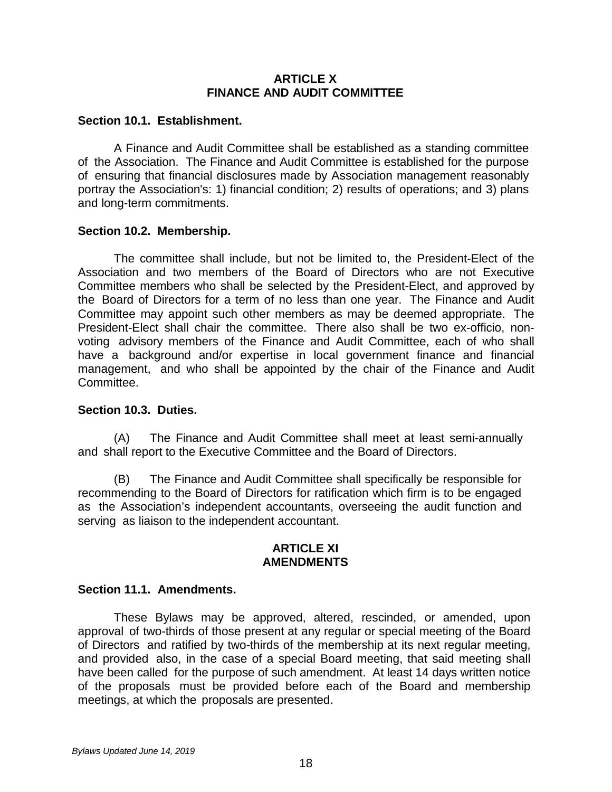## **ARTICLE X FINANCE AND AUDIT COMMITTEE**

### **Section 10.1. Establishment.**

A Finance and Audit Committee shall be established as a standing committee of the Association. The Finance and Audit Committee is established for the purpose of ensuring that financial disclosures made by Association management reasonably portray the Association's: 1) financial condition; 2) results of operations; and 3) plans and long-term commitments.

## **Section 10.2. Membership.**

The committee shall include, but not be limited to, the President-Elect of the Association and two members of the Board of Directors who are not Executive Committee members who shall be selected by the President-Elect, and approved by the Board of Directors for a term of no less than one year. The Finance and Audit Committee may appoint such other members as may be deemed appropriate. The President-Elect shall chair the committee. There also shall be two ex-officio, nonvoting advisory members of the Finance and Audit Committee, each of who shall have a background and/or expertise in local government finance and financial management, and who shall be appointed by the chair of the Finance and Audit Committee.

#### **Section 10.3. Duties.**

(A) The Finance and Audit Committee shall meet at least semi-annually and shall report to the Executive Committee and the Board of Directors.

(B) The Finance and Audit Committee shall specifically be responsible for recommending to the Board of Directors for ratification which firm is to be engaged as the Association's independent accountants, overseeing the audit function and serving as liaison to the independent accountant.

#### **ARTICLE XI AMENDMENTS**

## **Section 11.1. Amendments.**

These Bylaws may be approved, altered, rescinded, or amended, upon approval of two-thirds of those present at any regular or special meeting of the Board of Directors and ratified by two-thirds of the membership at its next regular meeting, and provided also, in the case of a special Board meeting, that said meeting shall have been called for the purpose of such amendment. At least 14 days written notice of the proposals must be provided before each of the Board and membership meetings, at which the proposals are presented.